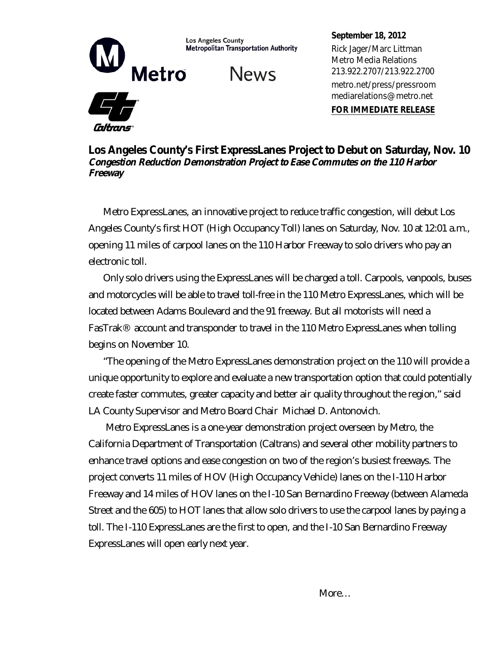

**Metropolitan Transportation Authority** 

**News** 

Caltrans

**September 18, 2012** Rick Jager/Marc Littman Metro Media Relations 213.922.2707/213.922.2700 metro.net/press/pressroom mediarelations@metro.net

**FOR IMMEDIATE RELEASE**

**Los Angeles County's First ExpressLanes Project to Debut on Saturday, Nov. 10** *Congestion Reduction Demonstration Project to Ease Commutes on the 110 Harbor Freeway*

Metro ExpressLanes, an innovative project to reduce traffic congestion, will debut Los Angeles County's first HOT (High Occupancy Toll) lanes on Saturday, Nov. 10 at 12:01 a.m., opening 11 miles of carpool lanes on the 110 Harbor Freeway to solo drivers who pay an electronic toll.

Only solo drivers using the ExpressLanes will be charged a toll. Carpools, vanpools, buses and motorcycles will be able to travel toll-free in the 110 Metro ExpressLanes, which will be located between Adams Boulevard and the 91 freeway. But all motorists will need a FasTrak® account and transponder to travel in the 110 Metro ExpressLanes when tolling begins on November 10.

"The opening of the Metro ExpressLanes demonstration project on the 110 will provide a unique opportunity to explore and evaluate a new transportation option that could potentially create faster commutes, greater capacity and better air quality throughout the region," said LA County Supervisor and Metro Board Chair Michael D. Antonovich.

 Metro ExpressLanes is a one-year demonstration project overseen by Metro, the California Department of Transportation (Caltrans) and several other mobility partners to enhance travel options and ease congestion on two of the region's busiest freeways. The project converts 11 miles of HOV (High Occupancy Vehicle) lanes on the I-110 Harbor Freeway and 14 miles of HOV lanes on the I-10 San Bernardino Freeway (between Alameda Street and the 605) to HOT lanes that allow solo drivers to use the carpool lanes by paying a toll. The I-110 ExpressLanes are the first to open, and the I-10 San Bernardino Freeway ExpressLanes will open early next year.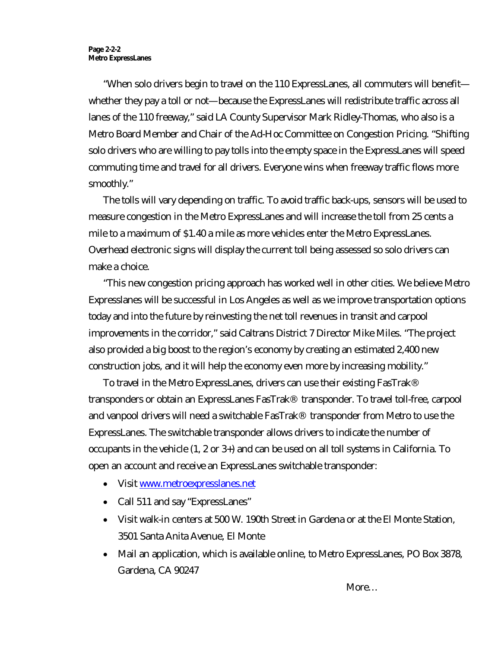"When solo drivers begin to travel on the 110 ExpressLanes, all commuters will benefit whether they pay a toll or not—because the ExpressLanes will redistribute traffic across all lanes of the 110 freeway," said LA County Supervisor Mark Ridley-Thomas, who also is a Metro Board Member and Chair of the Ad-Hoc Committee on Congestion Pricing. "Shifting solo drivers who are willing to pay tolls into the empty space in the ExpressLanes will speed commuting time and travel for all drivers. Everyone wins when freeway traffic flows more smoothly."

The tolls will vary depending on traffic. To avoid traffic back-ups, sensors will be used to measure congestion in the Metro ExpressLanes and will increase the toll from 25 cents a mile to a maximum of \$1.40 a mile as more vehicles enter the Metro ExpressLanes. Overhead electronic signs will display the current toll being assessed so solo drivers can make a choice.

"This new congestion pricing approach has worked well in other cities. We believe Metro Expresslanes will be successful in Los Angeles as well as we improve transportation options today and into the future by reinvesting the net toll revenues in transit and carpool improvements in the corridor," said Caltrans District 7 Director Mike Miles. "The project also provided a big boost to the region's economy by creating an estimated 2,400 new construction jobs, and it will help the economy even more by increasing mobility."

To travel in the Metro ExpressLanes, drivers can use their existing FasTrak® transponders or obtain an ExpressLanes FasTrak® transponder. To travel toll-free, carpool and vanpool drivers will need a switchable FasTrak® transponder from Metro to use the ExpressLanes. The switchable transponder allows drivers to indicate the number of occupants in the vehicle (1, 2 or 3+) and can be used on all toll systems in California. To open an account and receive an ExpressLanes switchable transponder:

- Visit www.metroexpresslanes.net
- Call 511 and say "ExpressLanes"
- Visit walk-in centers at 500 W. 190th Street in Gardena or at the El Monte Station, 3501 Santa Anita Avenue, El Monte
- Mail an application, which is available online, to Metro ExpressLanes, PO Box 3878, Gardena, CA 90247